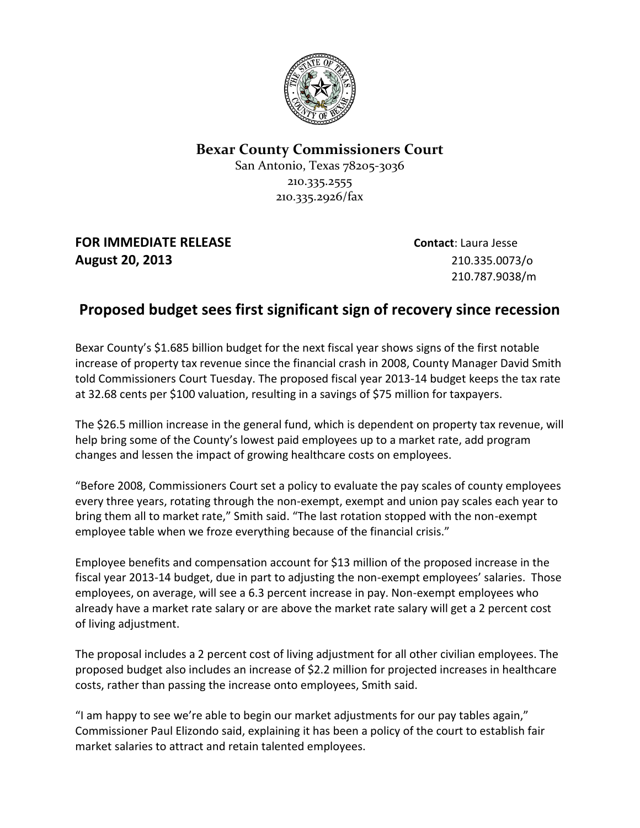

## **Bexar County Commissioners Court**

San Antonio, Texas 78205-3036 210.335.2555 210.335.2926/fax

**FOR IMMEDIATE RELEASE Contact**: Laura Jesse **August 20, 2013** 210.335.0073/o

210.787.9038/m

## **Proposed budget sees first significant sign of recovery since recession**

Bexar County's \$1.685 billion budget for the next fiscal year shows signs of the first notable increase of property tax revenue since the financial crash in 2008, County Manager David Smith told Commissioners Court Tuesday. The proposed fiscal year 2013-14 budget keeps the tax rate at 32.68 cents per \$100 valuation, resulting in a savings of \$75 million for taxpayers.

The \$26.5 million increase in the general fund, which is dependent on property tax revenue, will help bring some of the County's lowest paid employees up to a market rate, add program changes and lessen the impact of growing healthcare costs on employees.

"Before 2008, Commissioners Court set a policy to evaluate the pay scales of county employees every three years, rotating through the non-exempt, exempt and union pay scales each year to bring them all to market rate," Smith said. "The last rotation stopped with the non-exempt employee table when we froze everything because of the financial crisis."

Employee benefits and compensation account for \$13 million of the proposed increase in the fiscal year 2013-14 budget, due in part to adjusting the non-exempt employees' salaries. Those employees, on average, will see a 6.3 percent increase in pay. Non-exempt employees who already have a market rate salary or are above the market rate salary will get a 2 percent cost of living adjustment.

The proposal includes a 2 percent cost of living adjustment for all other civilian employees. The proposed budget also includes an increase of \$2.2 million for projected increases in healthcare costs, rather than passing the increase onto employees, Smith said.

"I am happy to see we're able to begin our market adjustments for our pay tables again," Commissioner Paul Elizondo said, explaining it has been a policy of the court to establish fair market salaries to attract and retain talented employees.